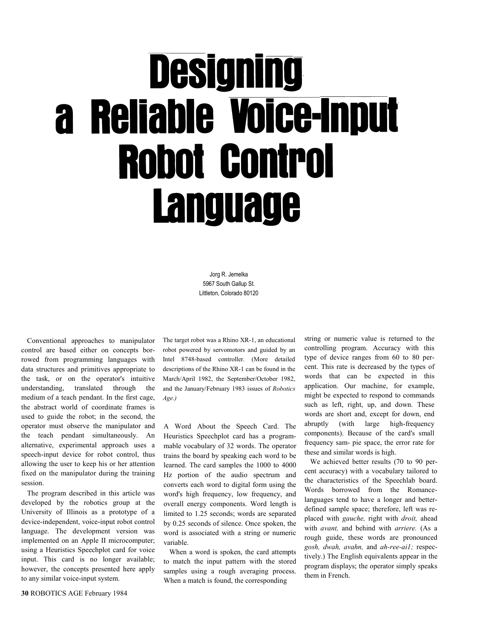## **Designing** a Reliable Voice-Input **Robot Control Language**

Jorg R. Jemelka 5967 South Gallup St. Littleton, Colorado 80120

Conventional approaches to manipulator control are based either on concepts borrowed from programming languages with data structures and primitives appropriate to the task, or on the operator's intuitive understanding, translated through the medium of a teach pendant. In the first cage, the abstract world of coordinate frames is used to guide the robot; in the second, the operator must observe the manipulator and the teach pendant simultaneously. An alternative, experimental approach uses a speech-input device for robot control, thus allowing the user to keep his or her attention fixed on the manipulator during the training session.

The program described in this article was developed by the robotics group at the University of Illinois as a prototype of a device-independent, voice-input robot control language. The development version was implemented on an Apple II microcomputer; using a Heuristics Speechplot card for voice input. This card is no longer available; however, the concepts presented here apply to any similar voice-input system.

30 ROBOTICS AGE February 1984

The target robot was a Rhino XR-1, an educational robot powered by servomotors and guided by an Intel 8748-based controller. (More detailed descriptions of the Rhino XR-1 can be found in the March/April 1982, the September/October 1982, and the January/February 1983 issues of Robotics Age.)

A Word About the Speech Card. The Heuristics Speechplot card has a programmable vocabulary of 32 words. The operator trains the board by speaking each word to be learned. The card samples the 1000 to 4000 Hz portion of the audio spectrum and converts each word to digital form using the word's high frequency, low frequency, and overall energy components. Word length is limited to 1.25 seconds; words are separated by 0.25 seconds of silence. Once spoken, the word is associated with a string or numeric variable.

When a word is spoken, the card attempts to match the input pattern with the stored samples using a rough averaging process. When a match is found, the corresponding

string or numeric value is returned to the controlling program. Accuracy with this type of device ranges from 60 to 80 percent. This rate is decreased by the types of words that can be expected in this application. Our machine, for example, might be expected to respond to commands such as left, right, up, and down. These words are short and, except for down, end abruptly (with large high-frequency components). Because of the card's small frequency sam- pie space, the error rate for these and similar words is high.

We achieved better results (70 to 90 percent accuracy) with a vocabulary tailored to the characteristics of the Speechlab board. Words borrowed from the Romancelanguages tend to have a longer and betterdefined sample space; therefore, left was replaced with *gauche*, right with *droit*, ahead with *avant*, and behind with *arriere*. (As a rough guide, these words are pronounced gosh, dwah, avahn, and ah-ree-ai1; respectively.) The English equivalents appear in the program displays; the operator simply speaks them in French.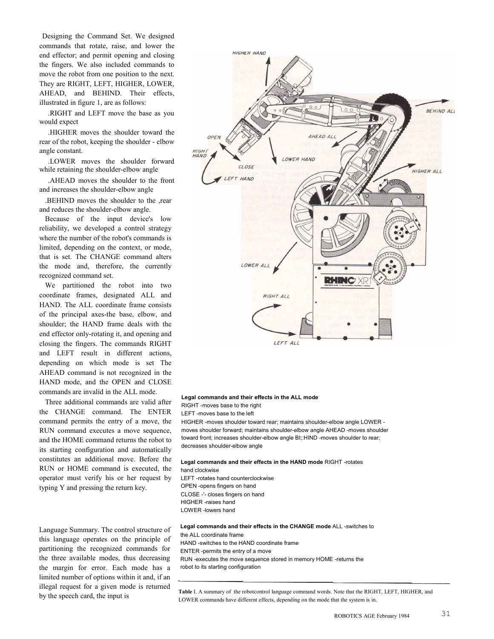Designing the Command Set. We designed commands that rotate, raise, and lower the end effector; and permit opening and closing the fingers. We also included commands to move the robot from one position to the next. They are RIGHT, LEFT, HIGHER, LOWER, AHEAD, and BEHIND. Their effects, illustrated in figure 1, are as follows:

.RIGHT and LEFT move the base as you would expect

.HIGHER moves the shoulder toward the rear of the robot, keeping the shoulder - elbow angle constant.

.LOWER moves the shoulder forward while retaining the shoulder-elbow angle

.AHEAD moves the shoulder to the front and increases the shoulder-elbow angle

.BEHIND moves the shoulder to the ,rear and reduces the shoulder-elbow angle.

Because of the input device's low reliability, we developed a control strategy where the number of the robot's commands is limited, depending on the context, or mode, that is set. The CHANGE command alters the mode and, therefore, the currently recognized command set.

We partitioned the robot into two coordinate frames, designated ALL and HAND. The ALL coordinate frame consists of the principal axes-the base, elbow, and shoulder; the HAND frame deals with the end effector only-rotating it, and opening and closing the fingers. The commands RIGHT and LEFT result in different actions, depending on which mode is set The AHEAD command is not recognized in the HAND mode, and the OPEN and CLOSE commands are invalid in the ALL mode.

Three additional commands are valid after the CHANGE command. The ENTER command permits the entry of a move, the RUN command executes a move sequence, and the HOME command returns the robot to its starting configuration and automatically constitutes an additional move. Before the RUN or HOME command is executed, the operator must verify his or her request by typing Y and pressing the return key.

Language Summary. The control structure of this language operates on the principle of partitioning the recognized commands for the three available modes, thus decreasing the margin for error. Each mode has a limited number of options within it and, if an illegal request for a given mode is returned by the speech card, the input is



LEFT ALL

## Legal commands and their effects in the ALL mode

RIGHT -moves base to the right

LEFT -moves base to the left

HIGHER -moves shoulder toward rear; maintains shoulder-elbow angle LOWER moves shoulder forward; maintains shoulder-elbow angle AHEAD -moves shoulder toward front; increases shoulder-elbow angle BI;:HIND -moves shoulder to rear; decreases shoulder-elbow angle

## Legal commands and their effects in the HAND mode RIGHT -rotates

hand clockwise LEFT -rotates hand counterclockwise OPEN -opens fingers on hand CLOSE -'- closes fingers on hand HIGHER -raises hand LOWER -lowers hand

Legal commands and their effects in the CHANGE mode ALL -switches to the ALL coordinate frame HAND -switches to the HAND coordinate frame ENTER -permits the entry of a move RUN -executes the move sequence stored in memory HOME -returns the robot to its starting configuration

Table I. A summary of the robotcontrol language command words. Note that the RIGHT, LEFT, HIGHER, and LOWER commands have different effects, depending on the mode that the system is in.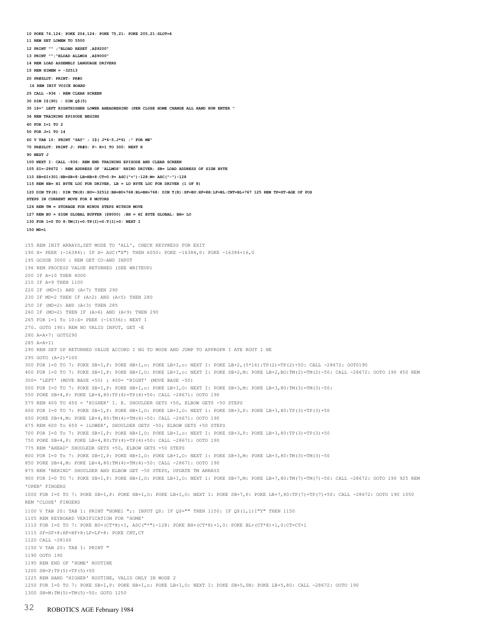12 PRINT "" ;"BLOAD RESET ,A\$9200" 13 PRINT "";"BLOAD ALLMOS ,A\$9000" 14 REM LOAD ASSEMBLY LANGUAGE DRIVERS 15 REM HIMEM = -32513 20 PR#SLOT: PRINT: PR#O 16 REM INIT VOICE BOARD 25 CALL -936 : REM CLEAR SCREEN 30 DIM I\$(90) : DIM Q\$(5) 35 1\$=" LEFT RIGHTHIGHER LOWER AHEADBEHIND (PEN CLOSE HOME CHANGE ALL HAND RUN ENTER " 36 REM TRAINING EPISODE BEGINS 40 FOR I=1 TO 2 50 FOR J=1 TO 14 60 V TAB 10: PRINT "SAY" ; I\$( J\*6-5,J\*6) ;" FOR ME" 70 PR#SLOT: PRINT J: PR#O: F~ K=1 TO 300: NEXT K 90 NEXT J 100 NEXT I: CALL -936: REM END TRAINING EPISODE AND CLEAR SCREEN 105 SI=-28672 : REM ADDRESS OF 'ALLMOS' RHINO DRIVER; SB= LOAD ADDRESS OF SIGN BYTE 110 SB=SI+301:HB=SB+8:LB=HB+8:CT=0:P= ASC("+")-128:M= ASC("-")-128 115 REM HB= HI BYTE LOC FOR DRIVER, LB = LO BYTE LOC FOR DRIVER (1 OF 8) 120 DIM TP(8): DIM TM(8):BU=-32512:BH=BU+768:BL=BH+768: DIM T(8):SF=BU:HF=8H:LF=BL:CNT=BL+767 125 REM TP=ST~AGE OF POS STEPS IN CURRENT MOVE FOR 8 MOTORS 126 REM TM = STORAGE FOR MINUS STEPS WITHIN MOVE 127 REM BU = SIGN GLOBAL BUFFER (\$8000) ;BH = HI BYTE GLOBAL; BH= LO 130 FOR 1=0 TO 8:TM(I)=0:TP(I)=0:T(I)=0: NEXT I 150 MD=l 155 REM INIT ARRAYS,SET MODE TO 'ALL', CHECK KEYPRESS FOR EXIT 190 X= PEEK (-16384): IF X= ASC("X") THEN 6050: POKE -16384,0: POKE -16384+16,0 195 GOSUB 3000 : REM GET CO~AND INPUT 196 REM PROCESS VALUE RETURNED (SEE WRITEUP) 200 IF A=10 THEN 4000 210 IF A=9 THEN 1100 220 IF (MD=I) AND (A<7) THEN 290 230 IF MD=2 THEN IF (A>2) AND (A<5) THEN 280 250 IF (MD=2) AND (A<3) THEN 285 260 IF (MD=2) THEN IF (A>6) AND (A<9) THEN 290 265 FOR 1=1 To 10:X= PEEK (-16336): NEXT I 270. GOTO 190: REM NO VALID INPUT, GET ~E 280 A=A+7: GOT0290 285 A=A+I1 290 REM SET UP RETURNED VALUE ACCORD I NG TO MODE AND JUMP TO APPROPR I ATE ROUT I NE 295 GOTO (A+2)\*100 300 FOR 1=0 TO 7: POKE SB+I,P: POKE HB+I,o: POKE LB+I,o: NEXT I: POKE LB+2,(5\*16):TP(2)=TP(2)+50: CALL -28672: OOT0190 400 FOR 1=0 TO 7: POKE SB+I,P: POKE HB+I,O: POKE LB+I,o: NEXT I: POKE SB+2,M: POKE LB+2,BO:TM(2)=TM(2)-50: CALL -28672: OOTO 190 450 REM 300= 'LEFT' (MOVE BASE +50) ; 400= 'RIGHT' (MOVE BASE -50) 500 FOR I=0 TO 7: POKE SB+I,P: POKE HB+I,o: POKE LB+I,O: NEXT I: POKE SB+3,M: POKE LB+3,80:TM(3)=TM(3)-50: 550 POKE SB+4,P: POKE LB+4,80:TP(4)=TP(4)+50: CALL -28671: OOTO 190 575 REM 400 TO 450 = 'HIGHER' I. E. SHOULDER GETS +50, ELBOW GETS -50 STEPS 600 FOR I=0 TO 7: POKE SB+I,P: POKE HB+I,O: POKE LB+I,O: NEXT 1: POKE SB+3,P: POKE LB+3,80:TP(3)=TP(3)+50 650 POKE SB+4,M: POKE LB+4,80:TM(4)=TM(4)-50: CALL -26671: OOTO 190 675 REM 600 To 650 = lLOWER', SHOULDER GETS -50; ELBOW GETS +50 STEPS 700 FOR I=0 To 7: POKE SB+I,P: POKE HB+I,O: POKE LB+I,o: NEXT I: POKE SB+3,P: POKE LB+3,80:TP(3)=TP(3)+50 750 POKE SB+4,P: POKE LB+4,80:TP(4)=TP(4)+50: CALL -28671: OOTO 190 775 REM 'AHEAD' SHOULEDR GETS +50, ELBOW GETS +50 STEPS 800 FOR I=0 To 7: POKE SB+I,P: POKE HB+I,O: POKE LB+I,O: NEXT 1: POKE SB+3,M: POKE LB+3,80:TM(3)=TM(3)-50 850 POKE SB+4,M: POKE LB+4,80:TM(4)=TM(4)-50: CALL -28671: OOTO 190 875 REM 'BEHIND' SHOULDER AND ELBOW GET -50 STEPS, UPDATE TM ARRAYS 900 FOR I=0 TO 7: POKE SB+I,P: POKE HB+I,O: POKE LB+I,O: NEXT 1: POKE SB+7,M: POKE LB+7,80:TM(7)=TM(7)-50: CALL -28672: OOTO 190 925 REM 'OPEN' FINGERS 1000 FOR I=0 TO 7: POKE SB+I,P: POKE HB+I,O: POKE LB+I,O: NEXT I: POKE SB+7,P: POKE LB+7,80:TP(7)=TP(7)+50: CALL -28672: OOTO 190 1050 REM 'CLOSE' FINGERS 1100 V TAB 20: TAB 1: PRINT "HOME1 ";: INPUT Q\$: IF Q\$="" THEN 1150: IF Q\$(1,1)I"Y" THEN 1150 1105 REM KEYBOARD VERIFICATION FOR 'HOME' 1110 FOR I=0 TO 7: POKE BU+(CT\*8)+I, ASC("\*")-128: POKE BH+(CT\*8)+1,0: POKE BL+(CT\*8)+1,0:CT=CT+1 1115 SF=SF+8:HF=HF+8:LF=LF+8: POKE CNT,CT 1120 CALL -28160 1150 V TAB 20: TAB I: PRINT " 1190 OOTO 190 1195 REM END OF 'HOME' ROUTINE 1200 SN=P:TP(5)=TP(5)+50 1225 REM HAND 'HIGHER' ROUTINE, VALID ONLY IN MODE 2 1250 FOR I=0 TO 7: POKE SB+I,P: POKE HB+I,o: POKE LB+I,O: NEXT I: POKE SB+5,SN: POKE LB+5,80: CALL -28672: OOTO 190 1300 SN=M:TM(5)=TM(5)-50: GOTO 1250

10 POKE 74,124: POKE 204,124: POKE 75,21: POKE 205,21:SLOT=4

11 REM SET LOMEM TO 5500